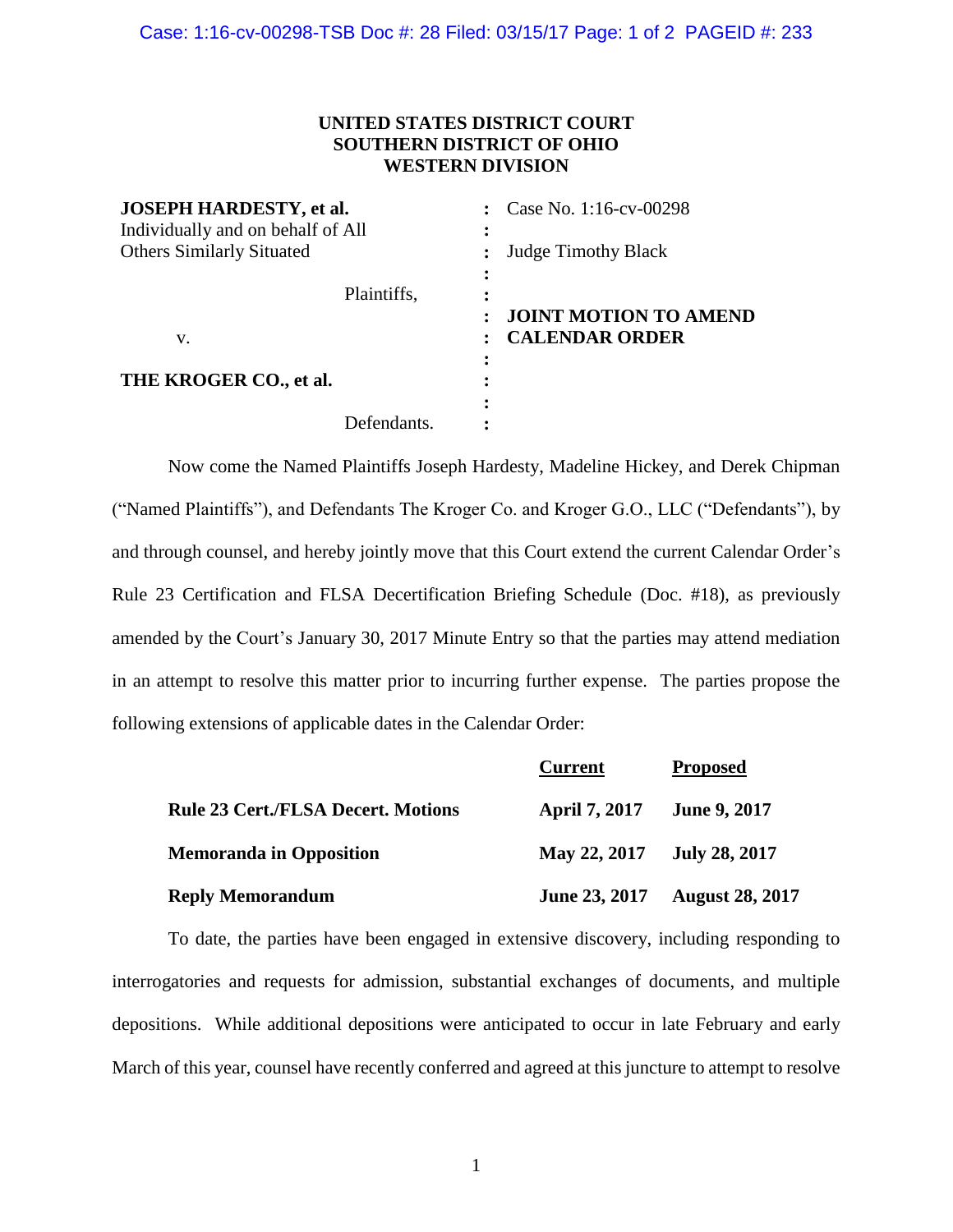## **UNITED STATES DISTRICT COURT SOUTHERN DISTRICT OF OHIO WESTERN DIVISION**

| <b>JOSEPH HARDESTY, et al.</b><br>Individually and on behalf of All |                          | Case No. 1:16-cv-00298                                |
|---------------------------------------------------------------------|--------------------------|-------------------------------------------------------|
| <b>Others Similarly Situated</b>                                    |                          | <b>Judge Timothy Black</b>                            |
|                                                                     | Plaintiffs,<br>$\bullet$ |                                                       |
| v.                                                                  | ٠                        | <b>JOINT MOTION TO AMEND</b><br><b>CALENDAR ORDER</b> |
| THE KROGER CO., et al.                                              | $\bullet$                |                                                       |
|                                                                     | Defendants.              |                                                       |

Now come the Named Plaintiffs Joseph Hardesty, Madeline Hickey, and Derek Chipman ("Named Plaintiffs"), and Defendants The Kroger Co. and Kroger G.O., LLC ("Defendants"), by and through counsel, and hereby jointly move that this Court extend the current Calendar Order's Rule 23 Certification and FLSA Decertification Briefing Schedule (Doc. #18), as previously amended by the Court's January 30, 2017 Minute Entry so that the parties may attend mediation in an attempt to resolve this matter prior to incurring further expense. The parties propose the following extensions of applicable dates in the Calendar Order:

|                                           | <b>Current</b>             | <b>Proposed</b>        |
|-------------------------------------------|----------------------------|------------------------|
| <b>Rule 23 Cert./FLSA Decert. Motions</b> | <b>April 7, 2017</b>       | <b>June 9, 2017</b>    |
| <b>Memoranda in Opposition</b>            | May 22, 2017 July 28, 2017 |                        |
| <b>Reply Memorandum</b>                   | <b>June 23, 2017</b>       | <b>August 28, 2017</b> |

To date, the parties have been engaged in extensive discovery, including responding to interrogatories and requests for admission, substantial exchanges of documents, and multiple depositions. While additional depositions were anticipated to occur in late February and early March of this year, counsel have recently conferred and agreed at this juncture to attempt to resolve